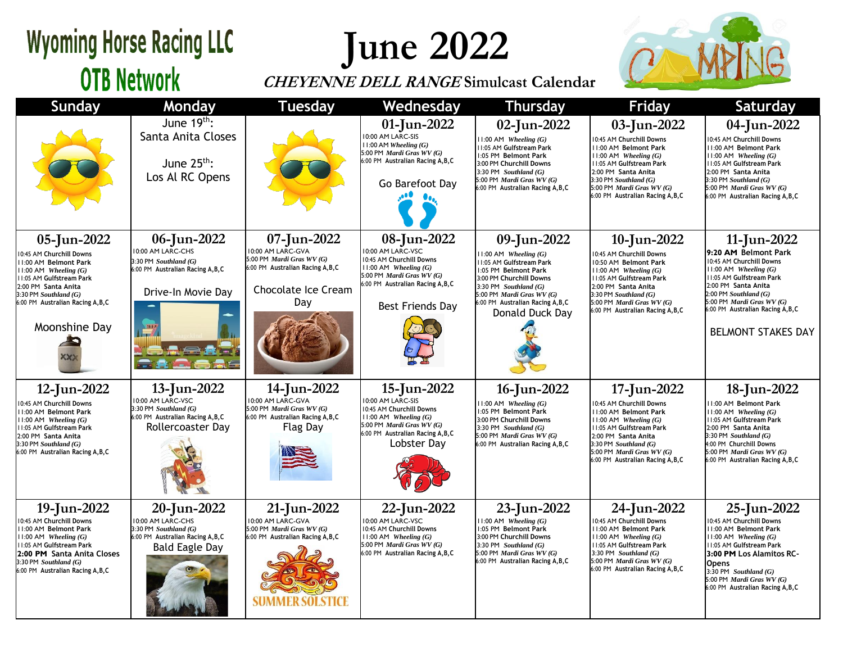## **Wyoming Horse Racing LLC OTB Network**

**June 2022**

## **CHEYENNE DELL RANGE Simulcast Calendar**



| <b>Sunday</b>                                                                                                                                                                                                                       | <b>Monday</b>                                                                                                           | <b>Tuesdav</b>                                                                                                                          | Wednesday                                                                                                                                                                       | <b>Thursday</b>                                                                                                                                                                                                                         | <b>Friday</b>                                                                                                                                                                                                                                   | Saturday                                                                                                                                                                                                                                                                    |
|-------------------------------------------------------------------------------------------------------------------------------------------------------------------------------------------------------------------------------------|-------------------------------------------------------------------------------------------------------------------------|-----------------------------------------------------------------------------------------------------------------------------------------|---------------------------------------------------------------------------------------------------------------------------------------------------------------------------------|-----------------------------------------------------------------------------------------------------------------------------------------------------------------------------------------------------------------------------------------|-------------------------------------------------------------------------------------------------------------------------------------------------------------------------------------------------------------------------------------------------|-----------------------------------------------------------------------------------------------------------------------------------------------------------------------------------------------------------------------------------------------------------------------------|
|                                                                                                                                                                                                                                     | June $19^{th}$ :<br>Santa Anita Closes<br>June $25^{th}$ :<br>Los Al RC Opens                                           |                                                                                                                                         | 01-Jun-2022<br>10:00 AM LARC-SIS<br>$11:00$ AM Wheeling $(G)$<br>5:00 PM Mardi Gras WV (G)<br>6:00 PM Australian Racing A, B, C<br>Go Barefoot Day                              | 02-Jun-2022<br>$11:00$ AM Wheeling $(G)$<br>11:05 AM Gulfstream Park<br>1:05 PM Belmont Park<br>3:00 PM Churchill Downs<br>3:30 PM Southland $(G)$<br>5:00 PM Mardi Gras WV (G)<br>6:00 PM Australian Racing A, B, C                    | 03-Jun-2022<br>10:45 AM Churchill Downs<br>11:00 AM Belmont Park<br>$11:00$ AM Wheeling $(G)$<br>11:05 AM Gulfstream Park<br>2:00 PM Santa Anita<br>3:30 PM Southland (G)<br>5:00 PM Mardi Gras WV (G)<br>6:00 PM Australian Racing A, B, C     | 04-Jun-2022<br>10:45 AM Churchill Downs<br>11:00 AM Belmont Park<br>$11:00$ AM Wheeling $(G)$<br>11:05 AM Gulfstream Park<br>2:00 PM Santa Anita<br>$3:30$ PM Southland $(G)$<br>5:00 PM Mardi Gras WV (G)<br>6:00 PM Australian Racing A, B, C                             |
| 05-Jun-2022<br>10:45 AM Churchill Downs<br>11:00 AM Belmont Park<br>$11:00$ AM Wheeling $(G)$<br>11:05 AM Gulfstream Park<br>2:00 PM Santa Anita<br>$3:30$ PM Southland $(G)$<br>6:00 PM Australian Racing A, B, C<br>Moonshine Day | 06-Jun-2022<br>10:00 AM LARC-CHS<br>3:30 PM Southland (G)<br>6:00 PM Australian Racing A, B, C<br>Drive-In Movie Day    | 07-Jun-2022<br>10:00 AM LARC-GVA<br>5:00 PM Mardi Gras WV (G)<br>6:00 PM Australian Racing A, B, C<br><b>Chocolate Ice Cream</b><br>Day | 08-Jun-2022<br>10:00 AM LARC-VSC<br>10:45 AM Churchill Downs<br>$11:00$ AM Wheeling $(G)$<br>5:00 PM Mardi Gras WV (G)<br>6:00 PM Australian Racing A, B, C<br>Best Friends Day | 09-Jun-2022<br>$11:00$ AM Wheeling $(G)$<br>11:05 AM Gulfstream Park<br>1:05 PM Belmont Park<br>3:00 PM Churchill Downs<br>3:30 PM Southland $(G)$<br>5:00 PM Mardi Gras WV (G)<br>6:00 PM Australian Racing A, B, C<br>Donald Duck Day | 10-Jun-2022<br>10:45 AM Churchill Downs<br>10:50 AM Belmont Park<br>11:00 AM Wheeling (G)<br>11:05 AM Gulfstream Park<br>2:00 PM Santa Anita<br>$3:30$ PM Southland $(G)$<br>5:00 PM Mardi Gras WV (G)<br>6:00 PM Australian Racing A, B, C     | 11-Jun-2022<br>9:20 AM Belmont Park<br>10:45 AM Churchill Downs<br>$11:00$ AM Wheeling $(G)$<br>11:05 AM Gulfstream Park<br>2:00 PM Santa Anita<br>$2:00$ PM Southland $(G)$<br>5:00 PM Mardi Gras WV (G)<br>6:00 PM Australian Racing A, B, C<br><b>BELMONT STAKES DAY</b> |
| 12-Jun-2022<br>10:45 AM Churchill Downs<br>11:00 AM Belmont Park<br>11:00 AM Wheeling $(G)$<br><b>11:05 AM Gulfstream Park</b><br>2:00 PM Santa Anita<br>$3:30$ PM Southland $(G)$<br>6:00 PM Australian Racing A, B, C             | 13-Jun-2022<br>10:00 AM LARC-VSC<br>3:30 PM Southland (G)<br>6:00 PM Australian Racing A, B, C<br>Rollercoaster Day     | 14-Jun-2022<br>10:00 AM LARC-GVA<br>5:00 PM Mardi Gras WV (G)<br>6:00 PM Australian Racing A, B, C<br><b>Flag Day</b>                   | 15-Jun-2022<br>10:00 AM LARC-SIS<br>10:45 AM Churchill Downs<br>$11:00$ AM Wheeling $(G)$<br>5:00 PM Mardi Gras WV (G)<br>6:00 PM Australian Racing A, B, C<br>Lobster Dav      | 16-Jun-2022<br>$11:00$ AM Wheeling $(G)$<br>1:05 PM Belmont Park<br>3:00 PM Churchill Downs<br>3:30 PM Southland $(G)$<br>5:00 PM Mardi Gras WV (G)<br>6:00 PM Australian Racing A, B, C                                                | 17-Jun-2022<br>10:45 AM Churchill Downs<br>11:00 AM Belmont Park<br>$11:00$ AM Wheeling $(G)$<br>11:05 AM Gulfstream Park<br>2:00 PM Santa Anita<br>$3:30$ PM Southland $(G)$<br>5:00 PM Mardi Gras WV (G)<br>6:00 PM Australian Racing A, B, C | 18-Jun-2022<br>11:00 AM Belmont Park<br>$11:00$ AM Wheeling $(G)$<br>11:05 AM Gulfstream Park<br>2:00 PM Santa Anita<br>$3:30$ PM Southland $(G)$<br>4:00 PM Churchill Downs<br>5:00 PM Mardi Gras WV (G)<br>6:00 PM Australian Racing A, B, C                              |
| 19-Jun-2022<br>10:45 AM Churchill Downs<br><b>11:00 AM Belmont Park</b><br>11:00 AM Wheeling (G)<br>11:05 AM Gulfstream Park<br>2:00 PM Santa Anita Closes<br>3:30 PM Southland (G)<br>6:00 PM Australian Racing A, B, C            | 20-Jun-2022<br>10:00 AM LARC-CHS<br>3:30 PM Southland (G)<br>6:00 PM Australian Racing A, B, C<br><b>Bald Eagle Day</b> | 21-Jun-2022<br>10:00 AM LARC-GVA<br>5:00 PM Mardi Gras WV (G)<br>6:00 PM Australian Racing A, B, C                                      | 22-Jun-2022<br>10:00 AM LARC-VSC<br>10:45 AM Churchill Downs<br>$11:00$ AM Wheeling $(G)$<br>5:00 PM Mardi Gras WV (G)<br>6:00 PM Australian Racing A, B, C                     | 23-Jun-2022<br>$11:00$ AM Wheeling $(G)$<br>1:05 PM Belmont Park<br>3:00 PM Churchill Downs<br>3:30 PM Southland $(G)$<br>5:00 PM Mardi Gras WV (G)<br>6:00 PM Australian Racing A, B, C                                                | 24-Jun-2022<br>10:45 AM Churchill Downs<br>11:00 AM Belmont Park<br>$11:00$ AM Wheeling $(G)$<br>11:05 AM Gulfstream Park<br>3:30 PM Southland $(G)$<br>5:00 PM Mardi Gras WV (G)<br>6:00 PM Australian Racing A, B, C                          | 25-Jun-2022<br>10:45 AM Churchill Downs<br><b>11:00 AM Belmont Park</b><br>$11:00$ AM Wheeling $(G)$<br>11:05 AM Gulfstream Park<br>3:00 PM Los Alamitos RC-<br><b>Opens</b><br>3:30 PM Southland $(G)$<br>5:00 PM Mardi Gras WV (G)<br>6:00 PM Australian Racing A, B, C   |